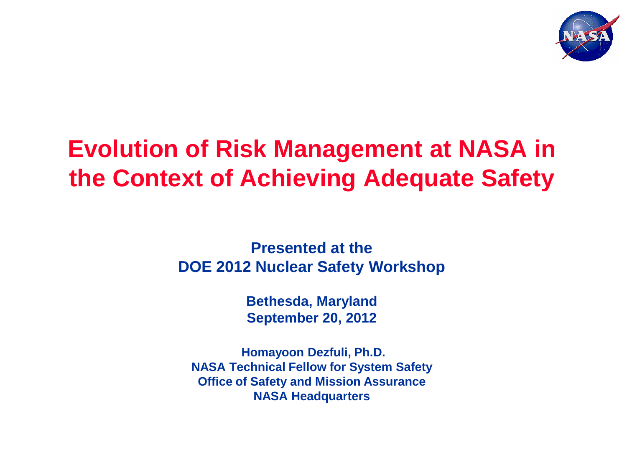

# **Evolution of Risk Management at NASA in the Context of Achieving Adequate Safety**

**Presented at the DOE 2012 Nuclear Safety Workshop**

> **Bethesda, Maryland September 20, 2012**

**Homayoon Dezfuli, Ph.D. NASA Technical Fellow for System Safety Office of Safety and Mission Assurance NASA Headquarters**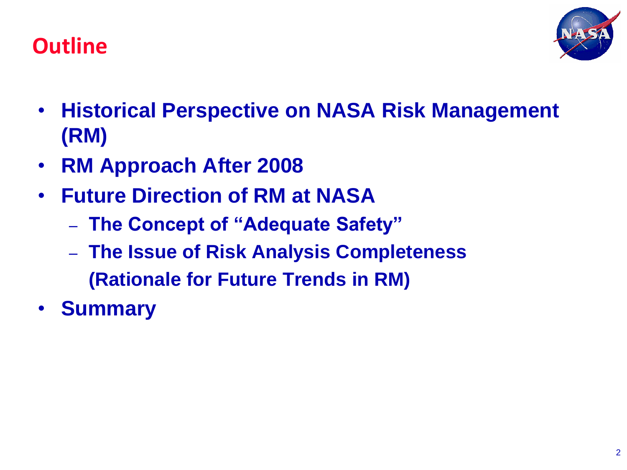



- **Historical Perspective on NASA Risk Management (RM)**
- **RM Approach After 2008**
- **Future Direction of RM at NASA**
	- **The Concept of "Adequate Safety"**
	- **The Issue of Risk Analysis Completeness (Rationale for Future Trends in RM)**
- **Summary**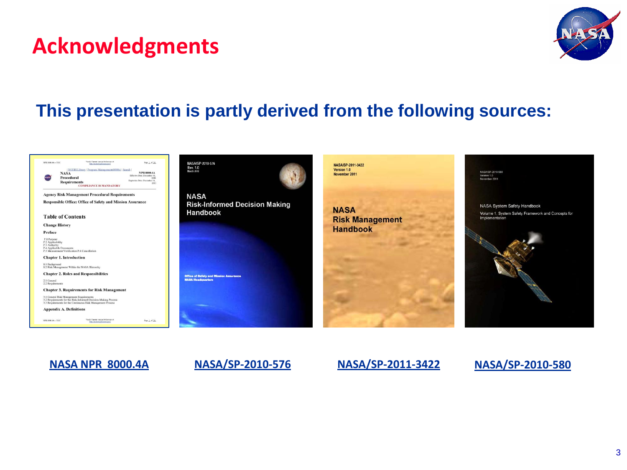#### **Acknowledgments**



#### **This presentation is partly derived from the following sources:**





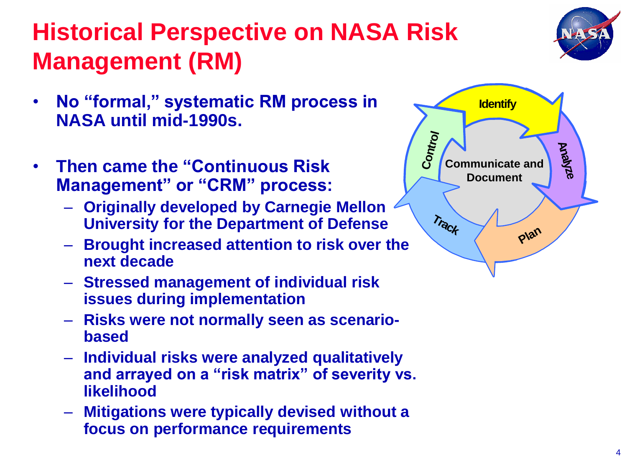# **Historical Perspective on NASA Risk Management (RM)**

- **No "formal," systematic RM process in NASA until mid-1990s.**
- **Then came the "Continuous Risk Management" or "CRM" process:**
	- **Originally developed by Carnegie Mellon University for the Department of Defense**
	- **Brought increased attention to risk over the next decade**
	- **Stressed management of individual risk issues during implementation**
	- **Risks were not normally seen as scenariobased**
	- **Individual risks were analyzed qualitatively and arrayed on a "risk matrix" of severity vs. likelihood**
	- **Mitigations were typically devised without a focus on performance requirements**



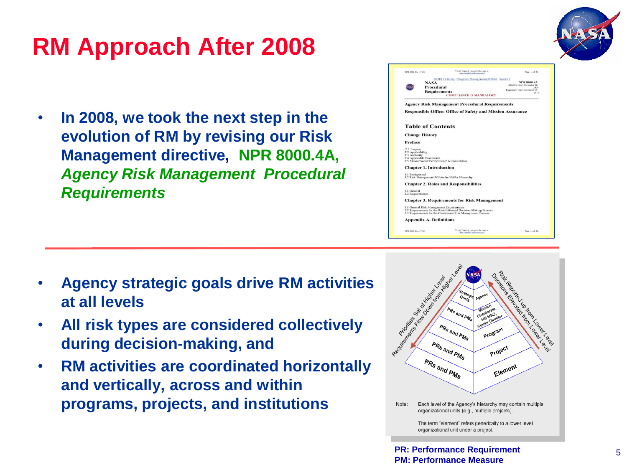

# **RM Approach After 2008**

• **In 2008, we took the next step in the evolution of RM by revising our Risk Management directive, NPR 8000.4A,**  *Agency Risk Management Procedural Requirements*

| NPR 8000.4A -- TOC |                                                                           | Verify Current version before use at:<br>http://modu3.gafa.nasa.pay/ | Page 1 of 26.                                      |
|--------------------|---------------------------------------------------------------------------|----------------------------------------------------------------------|----------------------------------------------------|
|                    |                                                                           | NODIS Library   Program Management(8000s)   Search                   |                                                    |
|                    | <b>NASA</b>                                                               |                                                                      | <b>NPR 8000.4A</b><br>Effective Date: December 16. |
|                    | <b>Procedural</b>                                                         |                                                                      | 2008                                               |
|                    | <b>Requirements</b>                                                       |                                                                      | Expiration Date: December 16,<br>2013              |
|                    |                                                                           | <b>COMPLIANCE IS MANDATORY</b>                                       |                                                    |
|                    |                                                                           | <b>Agency Risk Management Procedural Requirements</b>                |                                                    |
|                    |                                                                           | <b>Responsible Office: Office of Safety and Mission Assurance</b>    |                                                    |
|                    |                                                                           |                                                                      |                                                    |
|                    | <b>Table of Contents</b>                                                  |                                                                      |                                                    |
|                    | <b>Change History</b>                                                     |                                                                      |                                                    |
| Preface            |                                                                           |                                                                      |                                                    |
| P.1 Purpose        |                                                                           |                                                                      |                                                    |
| P.2 Applicability  |                                                                           |                                                                      |                                                    |
| P.3 Authority      |                                                                           |                                                                      |                                                    |
|                    | P.4 Applicable Documents<br>P.5 Measurement/Verification P.6 Cancellation |                                                                      |                                                    |
|                    |                                                                           |                                                                      |                                                    |
|                    | <b>Chapter 1. Introduction</b>                                            |                                                                      |                                                    |
| 1.1 Background     |                                                                           |                                                                      |                                                    |
|                    | 1.2 Risk Management Within the NASA Hierarchy                             |                                                                      |                                                    |
|                    |                                                                           | <b>Chapter 2. Roles and Responsibilities</b>                         |                                                    |
| 2.1 General        |                                                                           |                                                                      |                                                    |
| 2.2 Requirements   |                                                                           |                                                                      |                                                    |
|                    |                                                                           | <b>Chapter 3. Requirements for Risk Management</b>                   |                                                    |
|                    | 3.1 General Risk Management Requirements                                  |                                                                      |                                                    |
|                    |                                                                           | 3.2 Requirements for the Risk-Informed Decision-Making Process       |                                                    |
|                    |                                                                           | 3.3 Requirements for the Continuous Risk Management Process          |                                                    |
|                    | <b>Appendix A. Definitions</b>                                            |                                                                      |                                                    |
|                    | NPR \$500.4A -- TOC                                                       | Verify Current version before use at:                                | Page 1 of 26                                       |

- **Agency strategic goals drive RM activities at all levels**
- **All risk types are considered collectively during decision-making, and**
- **RM activities are coordinated horizontally and vertically, across and within programs, projects, and institutions**

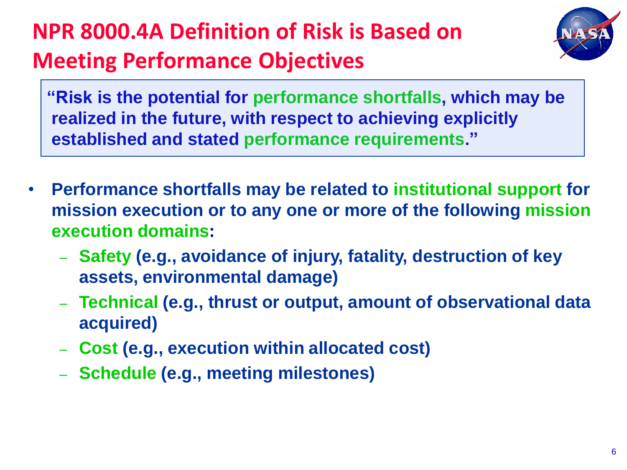# **NPR 8000.4A Definition of Risk is Based on Meeting Performance Objectives**



 **"Risk is the potential for performance shortfalls, which may be realized in the future, with respect to achieving explicitly established and stated performance requirements."** 

- **Performance shortfalls may be related to institutional support for mission execution or to any one or more of the following mission execution domains:**
	- **Safety (e.g., avoidance of injury, fatality, destruction of key assets, environmental damage)**
	- **Technical (e.g., thrust or output, amount of observational data acquired)**
	- **Cost (e.g., execution within allocated cost)**
	- **Schedule (e.g., meeting milestones)**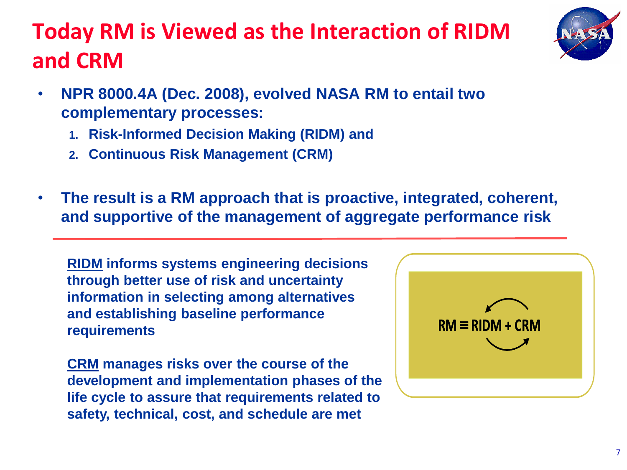#### **Today RM is Viewed as the Interaction of RIDM and CRM**



- **NPR 8000.4A (Dec. 2008), evolved NASA RM to entail two complementary processes:** 
	- **1. Risk-Informed Decision Making (RIDM) and**
	- **2. Continuous Risk Management (CRM)**
- **The result is a RM approach that is proactive, integrated, coherent, and supportive of the management of aggregate performance risk**

**RIDM informs systems engineering decisions through better use of risk and uncertainty information in selecting among alternatives and establishing baseline performance requirements**

**CRM manages risks over the course of the development and implementation phases of the life cycle to assure that requirements related to safety, technical, cost, and schedule are met**

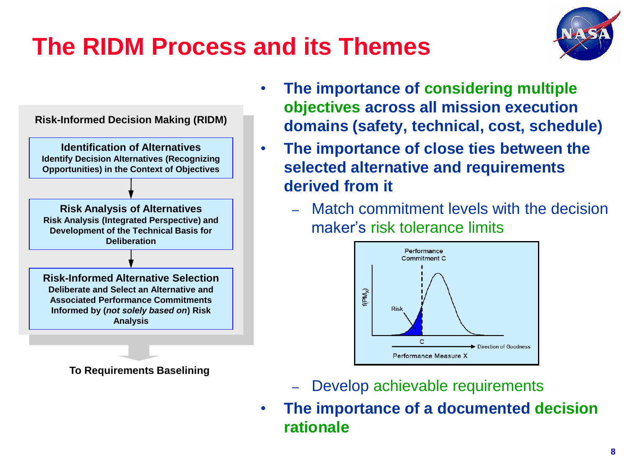# **The RIDM Process and its Themes**





**To Requirements Baselining**

- **The importance of considering multiple objectives across all mission execution domains (safety, technical, cost, schedule)**
- **The importance of close ties between the selected alternative and requirements derived from it**
	- Match commitment levels with the decision maker's risk tolerance limits



- Develop achievable requirements
- **The importance of a documented decision rationale**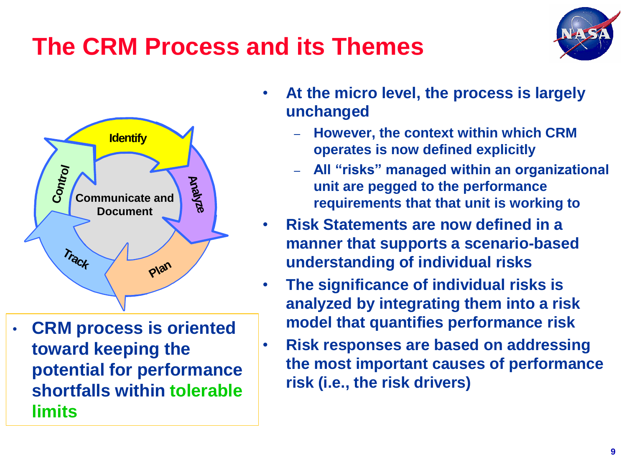# **The CRM Process and its Themes**





• **CRM process is oriented toward keeping the potential for performance shortfalls within tolerable limits**

- **At the micro level, the process is largely unchanged**
	- **However, the context within which CRM operates is now defined explicitly**
	- **All "risks" managed within an organizational unit are pegged to the performance requirements that that unit is working to**
- **Risk Statements are now defined in a manner that supports a scenario-based understanding of individual risks**
- **The significance of individual risks is analyzed by integrating them into a risk model that quantifies performance risk**
- **Risk responses are based on addressing the most important causes of performance risk (i.e., the risk drivers)**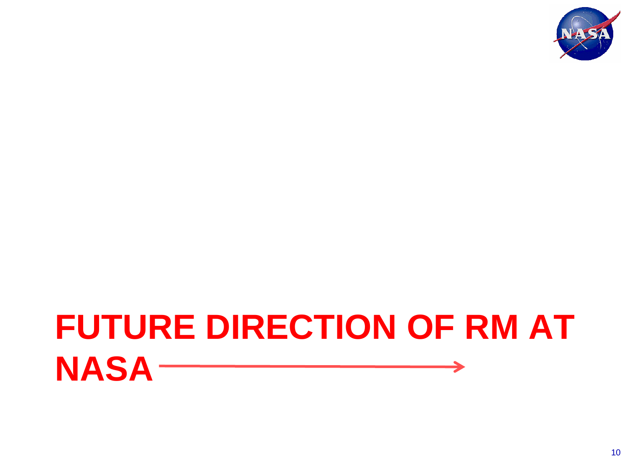

#### **FUTURE DIRECTION OF RM AT NASA**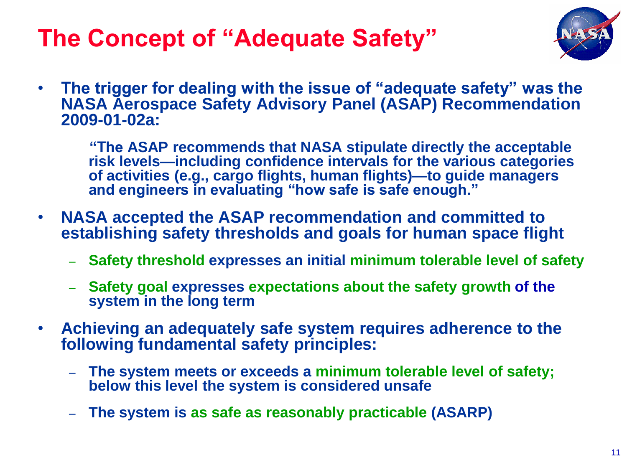## **The Concept of "Adequate Safety"**



• **The trigger for dealing with the issue of "adequate safety" was the NASA Aerospace Safety Advisory Panel (ASAP) Recommendation 2009-01-02a:** 

 **"The ASAP recommends that NASA stipulate directly the acceptable risk levels—including confidence intervals for the various categories of activities (e.g., cargo flights, human flights)—to guide managers and engineers in evaluating "how safe is safe enough."** 

- **NASA accepted the ASAP recommendation and committed to establishing safety thresholds and goals for human space flight** 
	- **Safety threshold expresses an initial minimum tolerable level of safety**
	- **Safety goal expresses expectations about the safety growth of the system in the long term**
- **Achieving an adequately safe system requires adherence to the following fundamental safety principles:**
	- **The system meets or exceeds a minimum tolerable level of safety; below this level the system is considered unsafe**
	- **The system is as safe as reasonably practicable (ASARP)**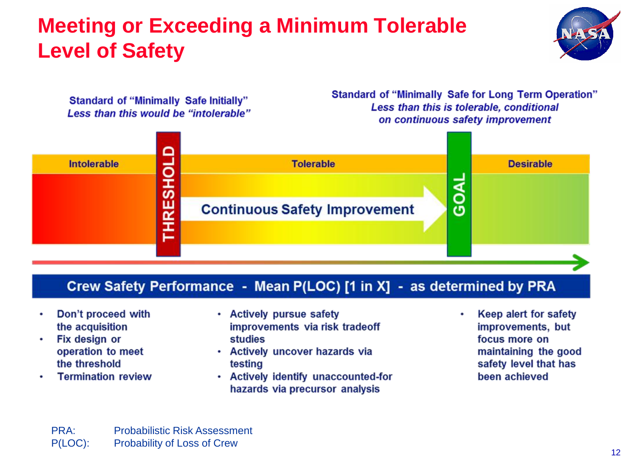#### **Meeting or Exceeding a Minimum Tolerable Level of Safety**



**Standard of "Minimally Safe Initially"** Less than this would be "intolerable" **Standard of "Minimally Safe for Long Term Operation"** Less than this is tolerable, conditional on continuous safety improvement



#### Crew Safety Performance - Mean P(LOC) [1 in X] - as determined by PRA

- Don't proceed with the acquisition
- Fix design or  $\bullet$ operation to meet the threshold
- **Termination review**
- Actively pursue safety improvements via risk tradeoff studies
- Actively uncover hazards via testing
- Actively identify unaccounted-for hazards via precursor analysis

Keep alert for safety improvements, but focus more on maintaining the good safety level that has been achieved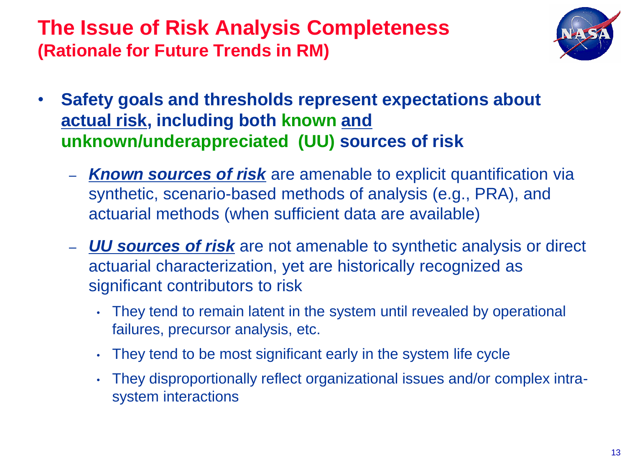#### **The Issue of Risk Analysis Completeness (Rationale for Future Trends in RM)**



- **Safety goals and thresholds represent expectations about actual risk, including both known and unknown/underappreciated (UU) sources of risk**
	- *Known sources of risk* are amenable to explicit quantification via synthetic, scenario-based methods of analysis (e.g., PRA), and actuarial methods (when sufficient data are available)
	- *UU sources of risk* are not amenable to synthetic analysis or direct actuarial characterization, yet are historically recognized as significant contributors to risk
		- They tend to remain latent in the system until revealed by operational failures, precursor analysis, etc.
		- They tend to be most significant early in the system life cycle
		- They disproportionally reflect organizational issues and/or complex intrasystem interactions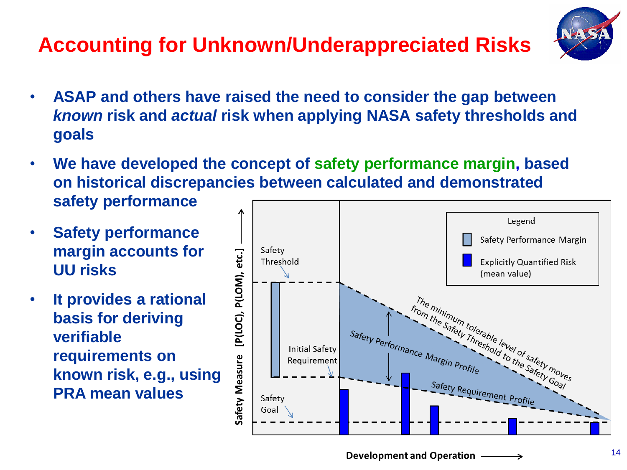#### **Accounting for Unknown/Underappreciated Risks**



- **ASAP and others have raised the need to consider the gap between**  *known* **risk and** *actual* **risk when applying NASA safety thresholds and goals**
- **We have developed the concept of safety performance margin, based on historical discrepancies between calculated and demonstrated safety performance**
- **Safety performance margin accounts for UU risks**
- **It provides a rational basis for deriving verifiable requirements on known risk, e.g., using PRA mean values**

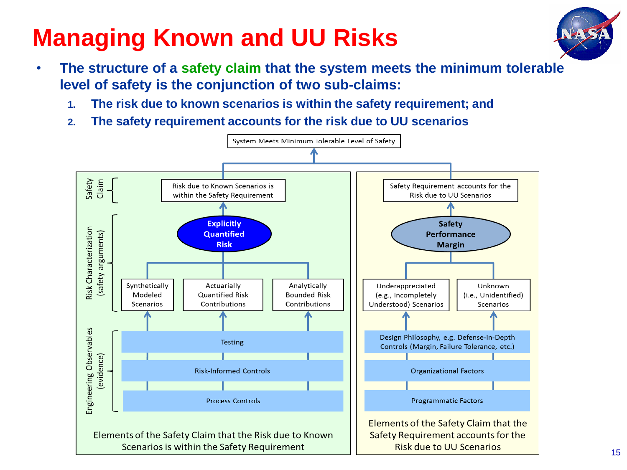# **Managing Known and UU Risks**



- **The structure of a safety claim that the system meets the minimum tolerable level of safety is the conjunction of two sub-claims:** 
	- **1. The risk due to known scenarios is within the safety requirement; and**
	- **2. The safety requirement accounts for the risk due to UU scenarios**

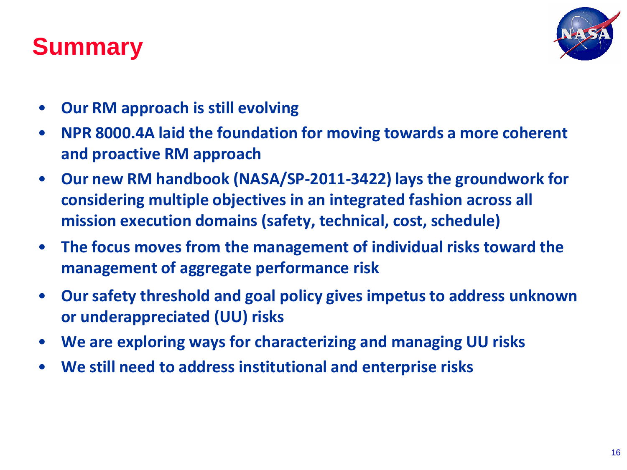### **Summary**



- **Our RM approach is still evolving**
- **NPR 8000.4A laid the foundation for moving towards a more coherent and proactive RM approach**
- **Our new RM handbook (NASA/SP-2011-3422) lays the groundwork for considering multiple objectives in an integrated fashion across all mission execution domains (safety, technical, cost, schedule)**
- **The focus moves from the management of individual risks toward the management of aggregate performance risk**
- **Our safety threshold and goal policy gives impetus to address unknown or underappreciated (UU) risks**
- **We are exploring ways for characterizing and managing UU risks**
- **We still need to address institutional and enterprise risks**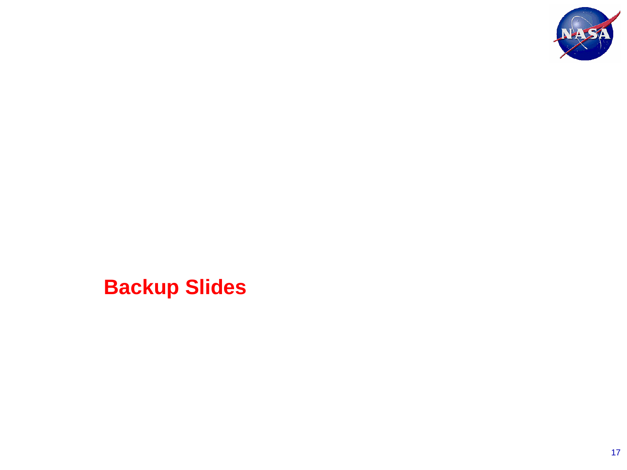

**Backup Slides**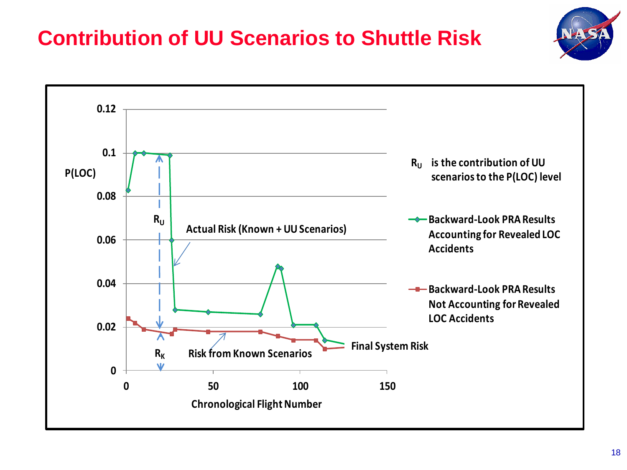#### **Contribution of UU Scenarios to Shuttle Risk**